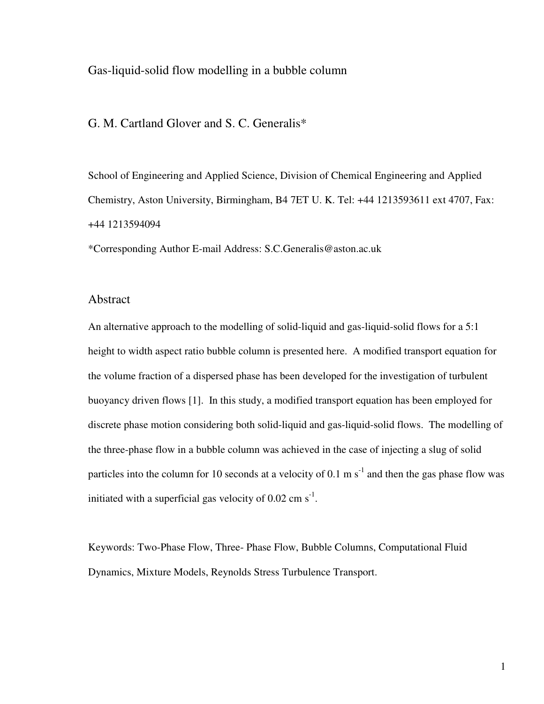# Gas-liquid-solid flow modelling in a bubble column

## G. M. Cartland Glover and S. C. Generalis\*

School of Engineering and Applied Science, Division of Chemical Engineering and Applied Chemistry, Aston University, Birmingham, B4 7ET U. K. Tel: +44 1213593611 ext 4707, Fax: +44 1213594094

\*Corresponding Author E-mail Address: S.C.Generalis@aston.ac.uk

## Abstract

An alternative approach to the modelling of solid-liquid and gas-liquid-solid flows for a 5:1 height to width aspect ratio bubble column is presented here. A modified transport equation for the volume fraction of a dispersed phase has been developed for the investigation of turbulent buoyancy driven flows [1]. In this study, a modified transport equation has been employed for discrete phase motion considering both solid-liquid and gas-liquid-solid flows. The modelling of the three-phase flow in a bubble column was achieved in the case of injecting a slug of solid particles into the column for 10 seconds at a velocity of 0.1 m  $s^{-1}$  and then the gas phase flow was initiated with a superficial gas velocity of  $0.02 \text{ cm s}^{-1}$ .

Keywords: Two-Phase Flow, Three- Phase Flow, Bubble Columns, Computational Fluid Dynamics, Mixture Models, Reynolds Stress Turbulence Transport.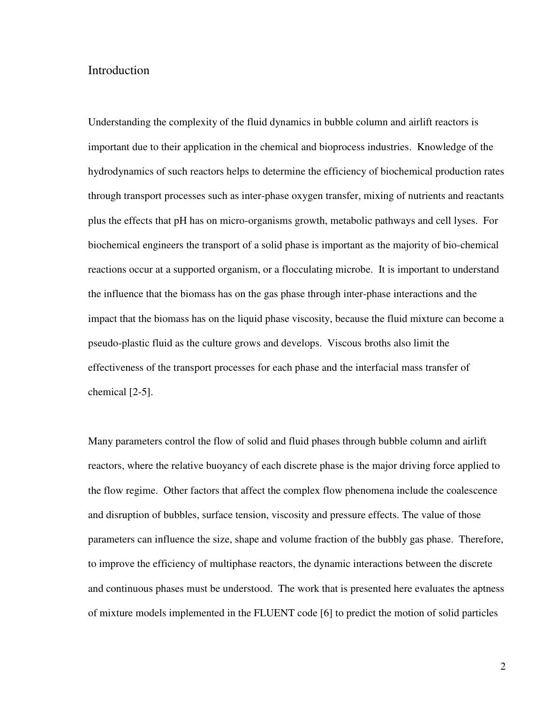## Introduction

Understanding the complexity of the fluid dynamics in bubble column and airlift reactors is important due to their application in the chemical and bioprocess industries. Knowledge of the hydrodynamics of such reactors helps to determine the efficiency of biochemical production rates through transport processes such as inter-phase oxygen transfer, mixing of nutrients and reactants plus the effects that pH has on micro-organisms growth, metabolic pathways and cell lyses. For biochemical engineers the transport of a solid phase is important as the majority of bio-chemical reactions occur at a supported organism, or a flocculating microbe. It is important to understand the influence that the biomass has on the gas phase through inter-phase interactions and the impact that the biomass has on the liquid phase viscosity, because the fluid mixture can become a pseudo-plastic fluid as the culture grows and develops. Viscous broths also limit the effectiveness of the transport processes for each phase and the interfacial mass transfer of chemical [2-5].

Many parameters control the flow of solid and fluid phases through bubble column and airlift reactors, where the relative buoyancy of each discrete phase is the major driving force applied to the flow regime. Other factors that affect the complex flow phenomena include the coalescence and disruption of bubbles, surface tension, viscosity and pressure effects. The value of those parameters can influence the size, shape and volume fraction of the bubbly gas phase. Therefore, to improve the efficiency of multiphase reactors, the dynamic interactions between the discrete and continuous phases must be understood. The work that is presented here evaluates the aptness of mixture models implemented in the FLUENT code [6] to predict the motion of solid particles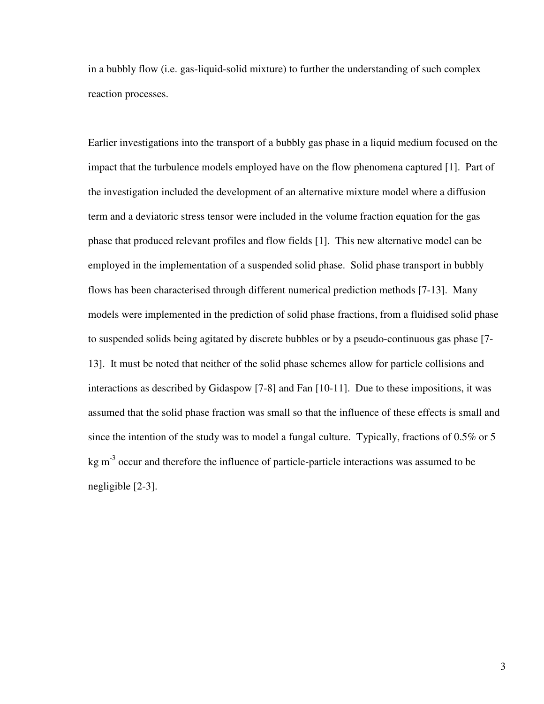in a bubbly flow (i.e. gas-liquid-solid mixture) to further the understanding of such complex reaction processes.

Earlier investigations into the transport of a bubbly gas phase in a liquid medium focused on the impact that the turbulence models employed have on the flow phenomena captured [1]. Part of the investigation included the development of an alternative mixture model where a diffusion term and a deviatoric stress tensor were included in the volume fraction equation for the gas phase that produced relevant profiles and flow fields [1]. This new alternative model can be employed in the implementation of a suspended solid phase. Solid phase transport in bubbly flows has been characterised through different numerical prediction methods [7-13]. Many models were implemented in the prediction of solid phase fractions, from a fluidised solid phase to suspended solids being agitated by discrete bubbles or by a pseudo-continuous gas phase [7- 13]. It must be noted that neither of the solid phase schemes allow for particle collisions and interactions as described by Gidaspow [7-8] and Fan [10-11]. Due to these impositions, it was assumed that the solid phase fraction was small so that the influence of these effects is small and since the intention of the study was to model a fungal culture. Typically, fractions of 0.5% or 5  $kg \, \text{m}^{-3}$  occur and therefore the influence of particle-particle interactions was assumed to be negligible [2-3].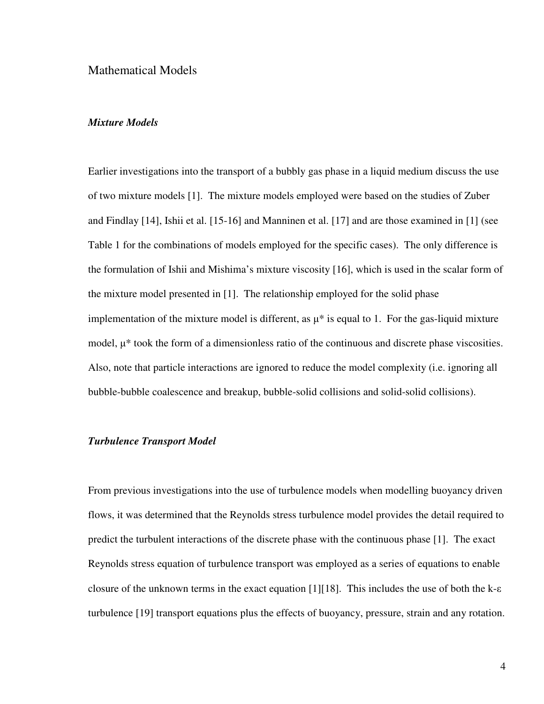## Mathematical Models

### Mixture Models

Earlier investigations into the transport of a bubbly gas phase in a liquid medium discuss the use of two mixture models [1]. The mixture models employed were based on the studies of Zuber and Findlay [14], Ishii et al. [15-16] and Manninen et al. [17] and are those examined in [1] (see Table 1 for the combinations of models employed for the specific cases). The only difference is the formulation of Ishii and Mishima's mixture viscosity [16], which is used in the scalar form of the mixture model presented in [1]. The relationship employed for the solid phase implementation of the mixture model is different, as  $\mu^*$  is equal to 1. For the gas-liquid mixture model,  $\mu^*$  took the form of a dimensionless ratio of the continuous and discrete phase viscosities. Also, note that particle interactions are ignored to reduce the model complexity (i.e. ignoring all bubble-bubble coalescence and breakup, bubble-solid collisions and solid-solid collisions).

#### Turbulence Transport Model

From previous investigations into the use of turbulence models when modelling buoyancy driven flows, it was determined that the Reynolds stress turbulence model provides the detail required to predict the turbulent interactions of the discrete phase with the continuous phase [1]. The exact Reynolds stress equation of turbulence transport was employed as a series of equations to enable closure of the unknown terms in the exact equation [1][18]. This includes the use of both the  $k$ - $\varepsilon$ turbulence [19] transport equations plus the effects of buoyancy, pressure, strain and any rotation.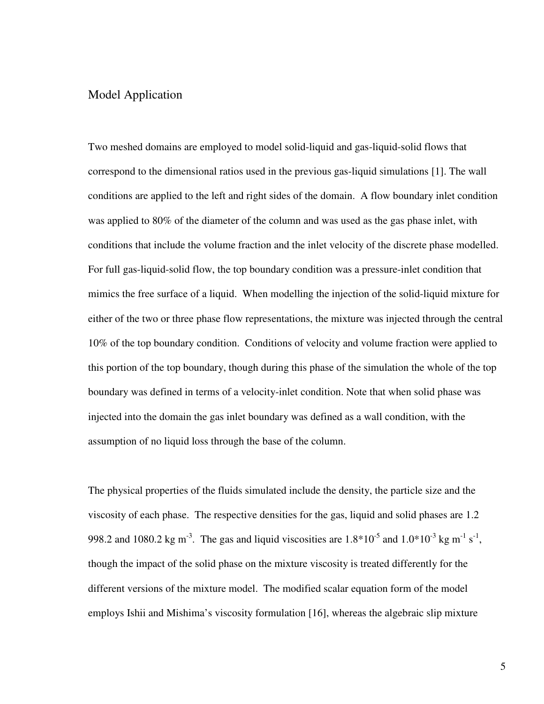# Model Application

Two meshed domains are employed to model solid-liquid and gas-liquid-solid flows that correspond to the dimensional ratios used in the previous gas-liquid simulations [1]. The wall conditions are applied to the left and right sides of the domain. A flow boundary inlet condition was applied to 80% of the diameter of the column and was used as the gas phase inlet, with conditions that include the volume fraction and the inlet velocity of the discrete phase modelled. For full gas-liquid-solid flow, the top boundary condition was a pressure-inlet condition that mimics the free surface of a liquid. When modelling the injection of the solid-liquid mixture for either of the two or three phase flow representations, the mixture was injected through the central 10% of the top boundary condition. Conditions of velocity and volume fraction were applied to this portion of the top boundary, though during this phase of the simulation the whole of the top boundary was defined in terms of a velocity-inlet condition. Note that when solid phase was injected into the domain the gas inlet boundary was defined as a wall condition, with the assumption of no liquid loss through the base of the column.

The physical properties of the fluids simulated include the density, the particle size and the viscosity of each phase. The respective densities for the gas, liquid and solid phases are 1.2 998.2 and 1080.2 kg m<sup>-3</sup>. The gas and liquid viscosities are  $1.8*10^{-5}$  and  $1.0*10^{-3}$  kg m<sup>-1</sup> s<sup>-1</sup>, though the impact of the solid phase on the mixture viscosity is treated differently for the different versions of the mixture model. The modified scalar equation form of the model employs Ishii and Mishima's viscosity formulation [16], whereas the algebraic slip mixture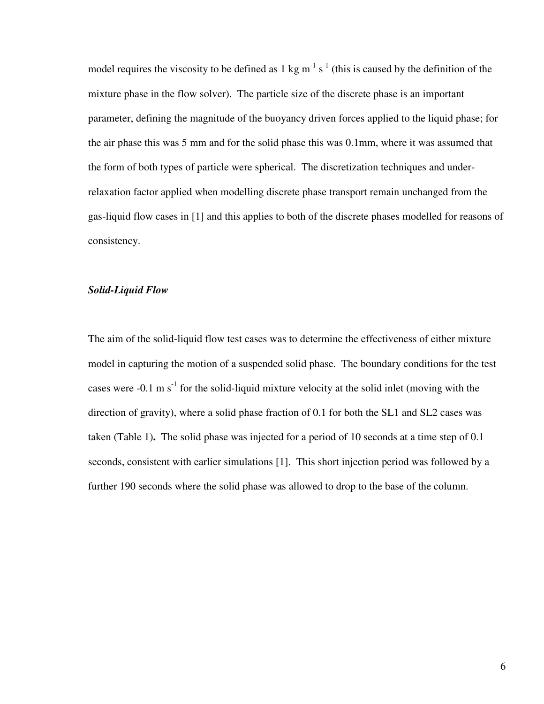model requires the viscosity to be defined as 1 kg  $m^{-1} s^{-1}$  (this is caused by the definition of the mixture phase in the flow solver). The particle size of the discrete phase is an important parameter, defining the magnitude of the buoyancy driven forces applied to the liquid phase; for the air phase this was 5 mm and for the solid phase this was 0.1mm, where it was assumed that the form of both types of particle were spherical. The discretization techniques and underrelaxation factor applied when modelling discrete phase transport remain unchanged from the gas-liquid flow cases in [1] and this applies to both of the discrete phases modelled for reasons of consistency.

### Solid-Liquid Flow

The aim of the solid-liquid flow test cases was to determine the effectiveness of either mixture model in capturing the motion of a suspended solid phase. The boundary conditions for the test cases were  $-0.1 \text{ m s}^1$  for the solid-liquid mixture velocity at the solid inlet (moving with the direction of gravity), where a solid phase fraction of 0.1 for both the SL1 and SL2 cases was taken (Table 1). The solid phase was injected for a period of 10 seconds at a time step of 0.1 seconds, consistent with earlier simulations [1]. This short injection period was followed by a further 190 seconds where the solid phase was allowed to drop to the base of the column.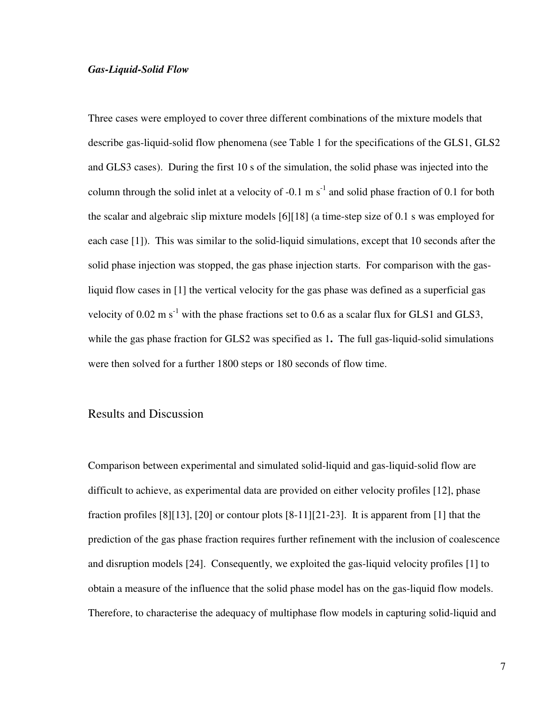#### Gas-Liquid-Solid Flow

Three cases were employed to cover three different combinations of the mixture models that describe gas-liquid-solid flow phenomena (see Table 1 for the specifications of the GLS1, GLS2 and GLS3 cases). During the first 10 s of the simulation, the solid phase was injected into the column through the solid inlet at a velocity of -0.1 m  $s^{-1}$  and solid phase fraction of 0.1 for both the scalar and algebraic slip mixture models [6][18] (a time-step size of 0.1 s was employed for each case [1]). This was similar to the solid-liquid simulations, except that 10 seconds after the solid phase injection was stopped, the gas phase injection starts. For comparison with the gasliquid flow cases in [1] the vertical velocity for the gas phase was defined as a superficial gas velocity of  $0.02 \text{ m s}^{-1}$  with the phase fractions set to 0.6 as a scalar flux for GLS1 and GLS3, while the gas phase fraction for GLS2 was specified as 1. The full gas-liquid-solid simulations were then solved for a further 1800 steps or 180 seconds of flow time.

### Results and Discussion

Comparison between experimental and simulated solid-liquid and gas-liquid-solid flow are difficult to achieve, as experimental data are provided on either velocity profiles [12], phase fraction profiles [8][13], [20] or contour plots [8-11][21-23]. It is apparent from [1] that the prediction of the gas phase fraction requires further refinement with the inclusion of coalescence and disruption models [24]. Consequently, we exploited the gas-liquid velocity profiles [1] to obtain a measure of the influence that the solid phase model has on the gas-liquid flow models. Therefore, to characterise the adequacy of multiphase flow models in capturing solid-liquid and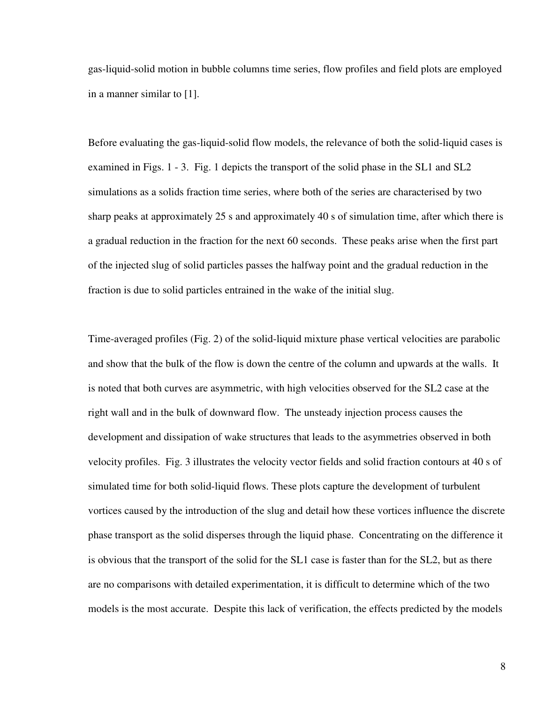gas-liquid-solid motion in bubble columns time series, flow profiles and field plots are employed in a manner similar to [1].

Before evaluating the gas-liquid-solid flow models, the relevance of both the solid-liquid cases is examined in Figs. 1 - 3. Fig. 1 depicts the transport of the solid phase in the SL1 and SL2 simulations as a solids fraction time series, where both of the series are characterised by two sharp peaks at approximately 25 s and approximately 40 s of simulation time, after which there is a gradual reduction in the fraction for the next 60 seconds. These peaks arise when the first part of the injected slug of solid particles passes the halfway point and the gradual reduction in the fraction is due to solid particles entrained in the wake of the initial slug.

Time-averaged profiles (Fig. 2) of the solid-liquid mixture phase vertical velocities are parabolic and show that the bulk of the flow is down the centre of the column and upwards at the walls. It is noted that both curves are asymmetric, with high velocities observed for the SL2 case at the right wall and in the bulk of downward flow. The unsteady injection process causes the development and dissipation of wake structures that leads to the asymmetries observed in both velocity profiles. Fig. 3 illustrates the velocity vector fields and solid fraction contours at 40 s of simulated time for both solid-liquid flows. These plots capture the development of turbulent vortices caused by the introduction of the slug and detail how these vortices influence the discrete phase transport as the solid disperses through the liquid phase. Concentrating on the difference it is obvious that the transport of the solid for the SL1 case is faster than for the SL2, but as there are no comparisons with detailed experimentation, it is difficult to determine which of the two models is the most accurate. Despite this lack of verification, the effects predicted by the models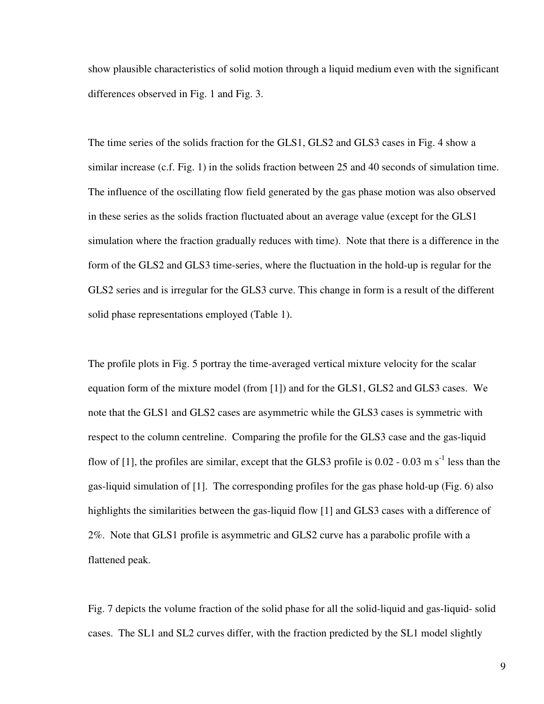show plausible characteristics of solid motion through a liquid medium even with the significant differences observed in Fig. 1 and Fig. 3.

The time series of the solids fraction for the GLS1, GLS2 and GLS3 cases in Fig. 4 show a similar increase (c.f. Fig. 1) in the solids fraction between 25 and 40 seconds of simulation time. The influence of the oscillating flow field generated by the gas phase motion was also observed in these series as the solids fraction fluctuated about an average value (except for the GLS1 simulation where the fraction gradually reduces with time). Note that there is a difference in the form of the GLS2 and GLS3 time-series, where the fluctuation in the hold-up is regular for the GLS2 series and is irregular for the GLS3 curve. This change in form is a result of the different solid phase representations employed (Table 1).

The profile plots in Fig. 5 portray the time-averaged vertical mixture velocity for the scalar equation form of the mixture model (from [1]) and for the GLS1, GLS2 and GLS3 cases. We note that the GLS1 and GLS2 cases are asymmetric while the GLS3 cases is symmetric with respect to the column centreline. Comparing the profile for the GLS3 case and the gas-liquid flow of [1], the profiles are similar, except that the GLS3 profile is  $0.02 - 0.03$  m s<sup>-1</sup> less than the gas-liquid simulation of [1]. The corresponding profiles for the gas phase hold-up (Fig. 6) also highlights the similarities between the gas-liquid flow [1] and GLS3 cases with a difference of 2%. Note that GLS1 profile is asymmetric and GLS2 curve has a parabolic profile with a flattened peak.

Fig. 7 depicts the volume fraction of the solid phase for all the solid-liquid and gas-liquid- solid cases. The SL1 and SL2 curves differ, with the fraction predicted by the SL1 model slightly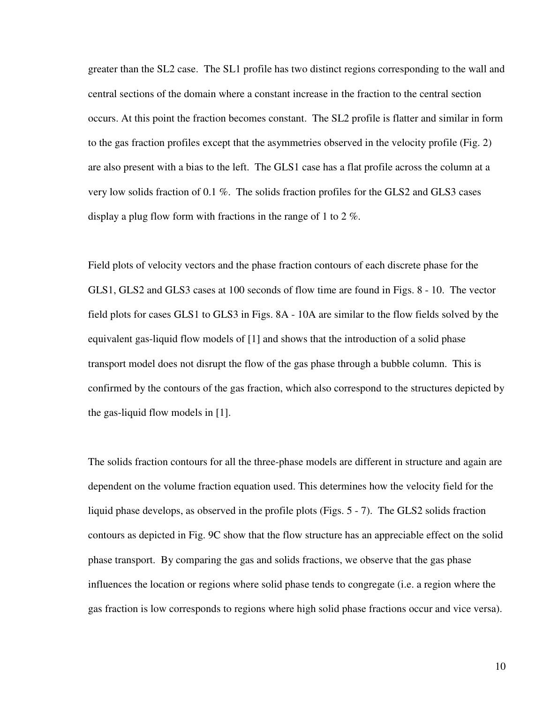greater than the SL2 case. The SL1 profile has two distinct regions corresponding to the wall and central sections of the domain where a constant increase in the fraction to the central section occurs. At this point the fraction becomes constant. The SL2 profile is flatter and similar in form to the gas fraction profiles except that the asymmetries observed in the velocity profile (Fig. 2) are also present with a bias to the left. The GLS1 case has a flat profile across the column at a very low solids fraction of 0.1 %. The solids fraction profiles for the GLS2 and GLS3 cases display a plug flow form with fractions in the range of 1 to 2 %.

Field plots of velocity vectors and the phase fraction contours of each discrete phase for the GLS1, GLS2 and GLS3 cases at 100 seconds of flow time are found in Figs. 8 - 10. The vector field plots for cases GLS1 to GLS3 in Figs. 8A - 10A are similar to the flow fields solved by the equivalent gas-liquid flow models of [1] and shows that the introduction of a solid phase transport model does not disrupt the flow of the gas phase through a bubble column. This is confirmed by the contours of the gas fraction, which also correspond to the structures depicted by the gas-liquid flow models in [1].

The solids fraction contours for all the three-phase models are different in structure and again are dependent on the volume fraction equation used. This determines how the velocity field for the liquid phase develops, as observed in the profile plots (Figs. 5 - 7). The GLS2 solids fraction contours as depicted in Fig. 9C show that the flow structure has an appreciable effect on the solid phase transport. By comparing the gas and solids fractions, we observe that the gas phase influences the location or regions where solid phase tends to congregate (i.e. a region where the gas fraction is low corresponds to regions where high solid phase fractions occur and vice versa).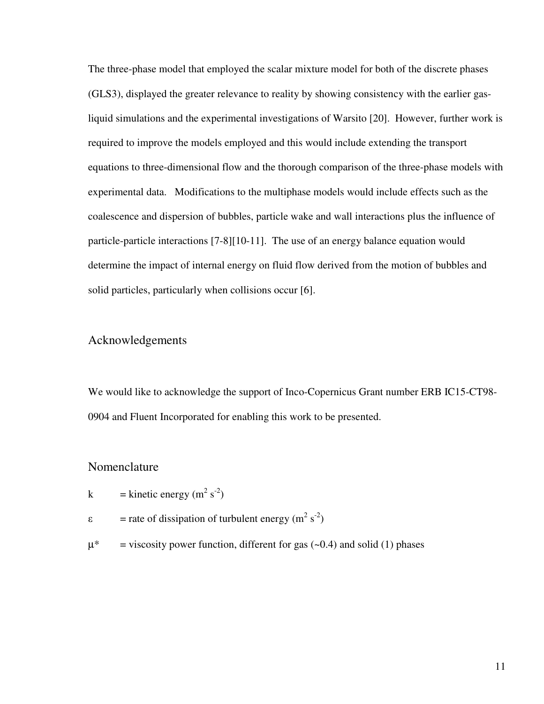The three-phase model that employed the scalar mixture model for both of the discrete phases (GLS3), displayed the greater relevance to reality by showing consistency with the earlier gasliquid simulations and the experimental investigations of Warsito [20]. However, further work is required to improve the models employed and this would include extending the transport equations to three-dimensional flow and the thorough comparison of the three-phase models with experimental data. Modifications to the multiphase models would include effects such as the coalescence and dispersion of bubbles, particle wake and wall interactions plus the influence of particle-particle interactions [7-8][10-11]. The use of an energy balance equation would determine the impact of internal energy on fluid flow derived from the motion of bubbles and solid particles, particularly when collisions occur [6].

## Acknowledgements

We would like to acknowledge the support of Inco-Copernicus Grant number ERB IC15-CT98- 0904 and Fluent Incorporated for enabling this work to be presented.

## Nomenclature

k = kinetic energy (m<sup>2</sup> s<sup>-2</sup>)

- $\varepsilon$ = rate of dissipation of turbulent energy ( $m^2$  s<sup>-2</sup>)
- $\mu^*$  = viscosity power function, different for gas (~0.4) and solid (1) phases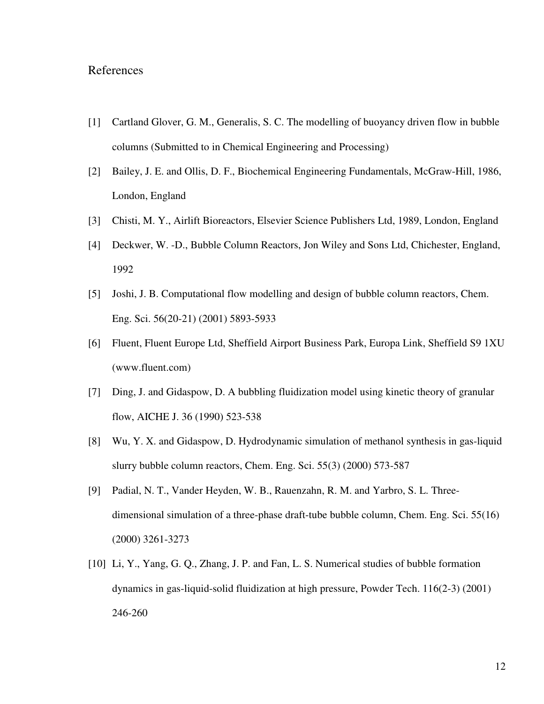# References

- [1] Cartland Glover, G. M., Generalis, S. C. The modelling of buoyancy driven flow in bubble columns (Submitted to in Chemical Engineering and Processing)
- [2] Bailey, J. E. and Ollis, D. F., Biochemical Engineering Fundamentals, McGraw-Hill, 1986, London, England
- [3] Chisti, M. Y., Airlift Bioreactors, Elsevier Science Publishers Ltd, 1989, London, England
- [4] Deckwer, W. -D., Bubble Column Reactors, Jon Wiley and Sons Ltd, Chichester, England, 1992
- [5] Joshi, J. B. Computational flow modelling and design of bubble column reactors, Chem. Eng. Sci. 56(20-21) (2001) 5893-5933
- [6] Fluent, Fluent Europe Ltd, Sheffield Airport Business Park, Europa Link, Sheffield S9 1XU (www.fluent.com)
- [7] Ding, J. and Gidaspow, D. A bubbling fluidization model using kinetic theory of granular flow, AICHE J. 36 (1990) 523-538
- [8] Wu, Y. X. and Gidaspow, D. Hydrodynamic simulation of methanol synthesis in gas-liquid slurry bubble column reactors, Chem. Eng. Sci. 55(3) (2000) 573-587
- [9] Padial, N. T., Vander Heyden, W. B., Rauenzahn, R. M. and Yarbro, S. L. Threedimensional simulation of a three-phase draft-tube bubble column, Chem. Eng. Sci. 55(16) (2000) 3261-3273
- [10] Li, Y., Yang, G. Q., Zhang, J. P. and Fan, L. S. Numerical studies of bubble formation dynamics in gas-liquid-solid fluidization at high pressure, Powder Tech. 116(2-3) (2001) 246-260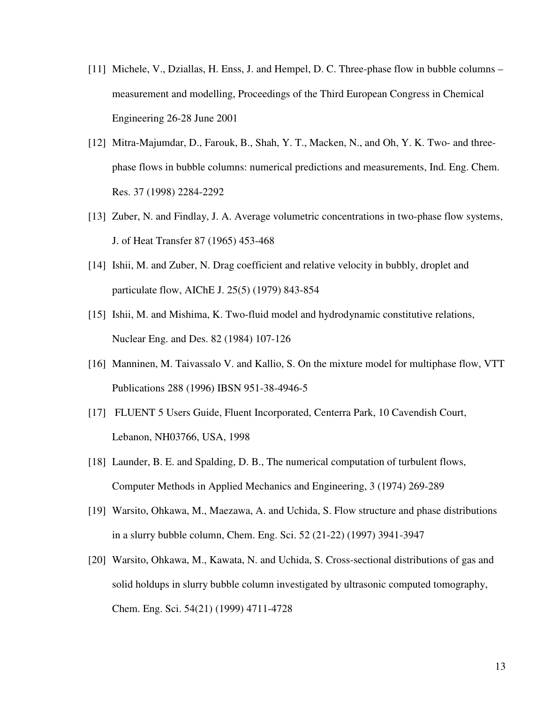- [11] Michele, V., Dziallas, H. Enss, J. and Hempel, D. C. Three-phase flow in bubble columns measurement and modelling, Proceedings of the Third European Congress in Chemical Engineering 26-28 June 2001
- [12] Mitra-Majumdar, D., Farouk, B., Shah, Y. T., Macken, N., and Oh, Y. K. Two- and threephase flows in bubble columns: numerical predictions and measurements, Ind. Eng. Chem. Res. 37 (1998) 2284-2292
- [13] Zuber, N. and Findlay, J. A. Average volumetric concentrations in two-phase flow systems, J. of Heat Transfer 87 (1965) 453-468
- [14] Ishii, M. and Zuber, N. Drag coefficient and relative velocity in bubbly, droplet and particulate flow, AIChE J. 25(5) (1979) 843-854
- [15] Ishii, M. and Mishima, K. Two-fluid model and hydrodynamic constitutive relations, Nuclear Eng. and Des. 82 (1984) 107-126
- [16] Manninen, M. Taivassalo V. and Kallio, S. On the mixture model for multiphase flow, VTT Publications 288 (1996) IBSN 951-38-4946-5
- [17] FLUENT 5 Users Guide, Fluent Incorporated, Centerra Park, 10 Cavendish Court, Lebanon, NH03766, USA, 1998
- [18] Launder, B. E. and Spalding, D. B., The numerical computation of turbulent flows, Computer Methods in Applied Mechanics and Engineering, 3 (1974) 269-289
- [19] Warsito, Ohkawa, M., Maezawa, A. and Uchida, S. Flow structure and phase distributions in a slurry bubble column, Chem. Eng. Sci. 52 (21-22) (1997) 3941-3947
- [20] Warsito, Ohkawa, M., Kawata, N. and Uchida, S. Cross-sectional distributions of gas and solid holdups in slurry bubble column investigated by ultrasonic computed tomography, Chem. Eng. Sci. 54(21) (1999) 4711-4728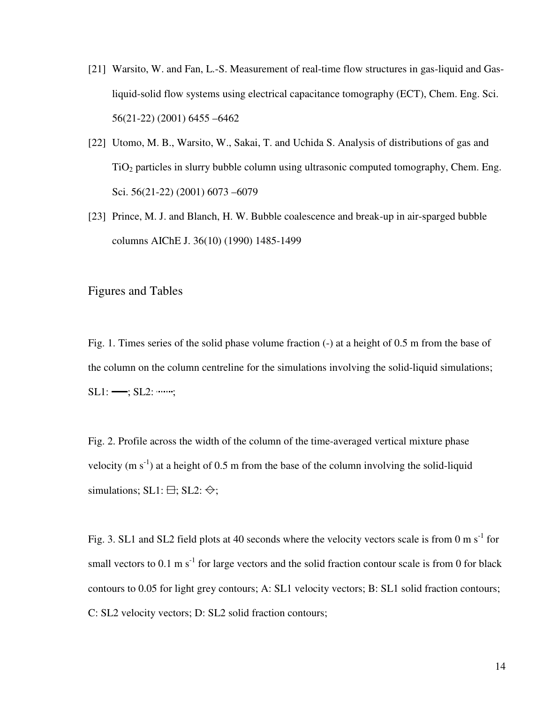- [21] Warsito, W. and Fan, L.-S. Measurement of real-time flow structures in gas-liquid and Gasliquid-solid flow systems using electrical capacitance tomography (ECT), Chem. Eng. Sci. 56(21-22) (2001) 6455 –6462
- [22] Utomo, M. B., Warsito, W., Sakai, T. and Uchida S. Analysis of distributions of gas and  $TiO<sub>2</sub>$  particles in slurry bubble column using ultrasonic computed tomography, Chem. Eng. Sci. 56(21-22) (2001) 6073 –6079
- [23] Prince, M. J. and Blanch, H. W. Bubble coalescence and break-up in air-sparged bubble columns AIChE J. 36(10) (1990) 1485-1499

Figures and Tables

Fig. 1. Times series of the solid phase volume fraction (-) at a height of 0.5 m from the base of the column on the column centreline for the simulations involving the solid-liquid simulations;  $SL1: \longrightarrow SL2: \dots$ ;

Fig. 2. Profile across the width of the column of the time-averaged vertical mixture phase velocity (m s<sup>-1</sup>) at a height of 0.5 m from the base of the column involving the solid-liquid simulations; SL1:  $\boxminus$ ; SL2:  $\diamondsuit$ ;

Fig. 3. SL1 and SL2 field plots at 40 seconds where the velocity vectors scale is from 0 m  $s^{-1}$  for small vectors to 0.1 m  $s^{-1}$  for large vectors and the solid fraction contour scale is from 0 for black contours to 0.05 for light grey contours; A: SL1 velocity vectors; B: SL1 solid fraction contours; C: SL2 velocity vectors; D: SL2 solid fraction contours;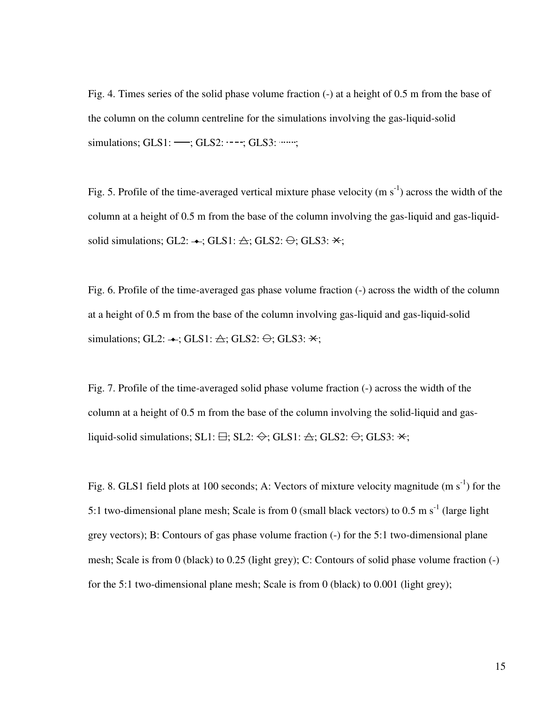Fig. 4. Times series of the solid phase volume fraction (-) at a height of 0.5 m from the base of the column on the column centreline for the simulations involving the gas-liquid-solid simulations; GLS1: -; GLS2: ----; GLS3: ........;

Fig. 5. Profile of the time-averaged vertical mixture phase velocity (m  $s^{-1}$ ) across the width of the column at a height of 0.5 m from the base of the column involving the gas-liquid and gas-liquidsolid simulations; GL2:  $\leftrightarrow$ ; GLS1:  $\triangle$ ; GLS2:  $\ominus$ ; GLS3:  $\star$ ;

Fig. 6. Profile of the time-averaged gas phase volume fraction (-) across the width of the column at a height of 0.5 m from the base of the column involving gas-liquid and gas-liquid-solid simulations; GL2:  $\leftrightarrow$ ; GLS1:  $\triangle$ ; GLS2:  $\ominus$ ; GLS3:  $\star$ ;

Fig. 7. Profile of the time-averaged solid phase volume fraction (-) across the width of the column at a height of 0.5 m from the base of the column involving the solid-liquid and gasliquid-solid simulations; SL1:  $\oplus$ ; SL2:  $\leftrightarrow$ ; GLS1:  $\triangle$ ; GLS2:  $\ominus$ ; GLS3:  $\star$ ;

Fig. 8. GLS1 field plots at 100 seconds; A: Vectors of mixture velocity magnitude (m  $s^{-1}$ ) for the 5:1 two-dimensional plane mesh; Scale is from 0 (small black vectors) to 0.5 m  $s^{-1}$  (large light grey vectors); B: Contours of gas phase volume fraction (-) for the 5:1 two-dimensional plane mesh; Scale is from 0 (black) to 0.25 (light grey); C: Contours of solid phase volume fraction (-) for the 5:1 two-dimensional plane mesh; Scale is from 0 (black) to 0.001 (light grey);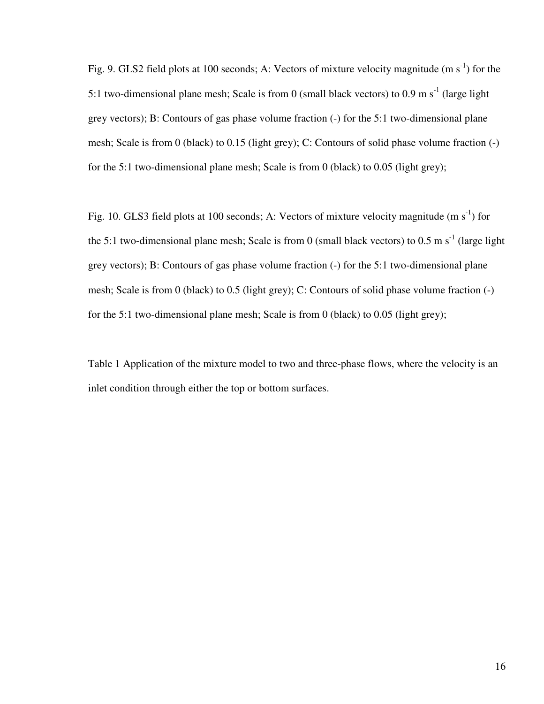Fig. 9. GLS2 field plots at 100 seconds; A: Vectors of mixture velocity magnitude  $(m s<sup>-1</sup>)$  for the 5:1 two-dimensional plane mesh; Scale is from 0 (small black vectors) to 0.9 m  $s^{-1}$  (large light grey vectors); B: Contours of gas phase volume fraction (-) for the 5:1 two-dimensional plane mesh; Scale is from 0 (black) to 0.15 (light grey); C: Contours of solid phase volume fraction (-) for the 5:1 two-dimensional plane mesh; Scale is from 0 (black) to 0.05 (light grey);

Fig. 10. GLS3 field plots at 100 seconds; A: Vectors of mixture velocity magnitude  $(m s<sup>-1</sup>)$  for the 5:1 two-dimensional plane mesh; Scale is from 0 (small black vectors) to 0.5 m  $s^{-1}$  (large light grey vectors); B: Contours of gas phase volume fraction (-) for the 5:1 two-dimensional plane mesh; Scale is from 0 (black) to 0.5 (light grey); C: Contours of solid phase volume fraction (-) for the 5:1 two-dimensional plane mesh; Scale is from 0 (black) to 0.05 (light grey);

Table 1 Application of the mixture model to two and three-phase flows, where the velocity is an inlet condition through either the top or bottom surfaces.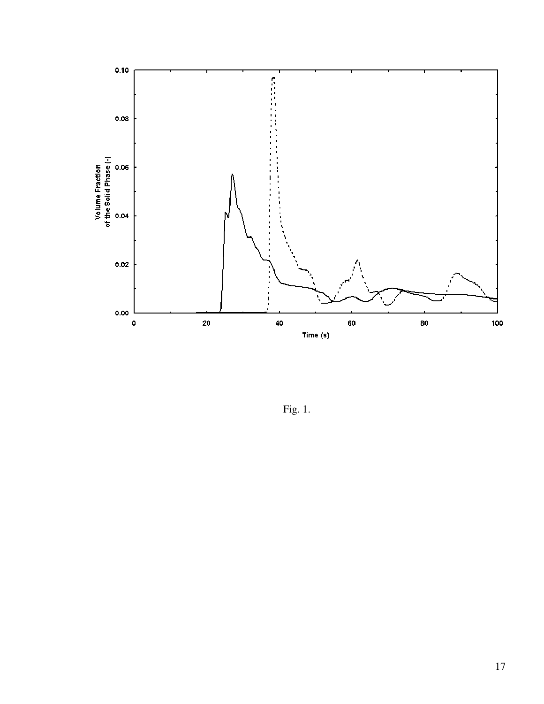

Fig. 1.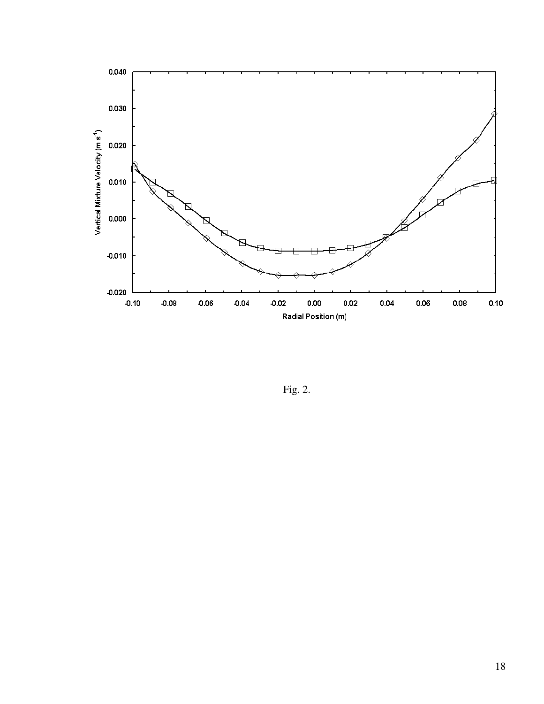

Fig. 2.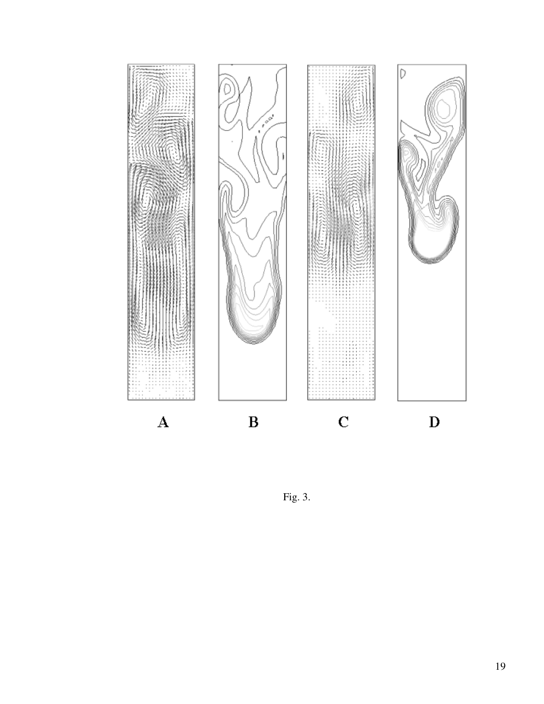

Fig. 3.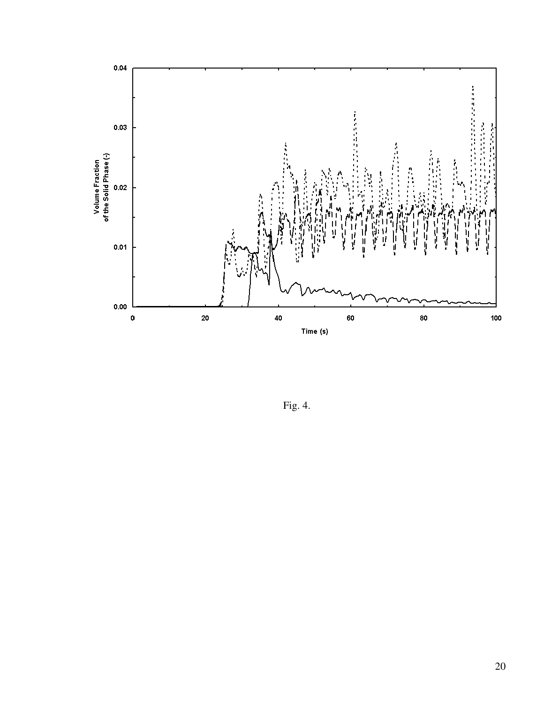

Fig. 4.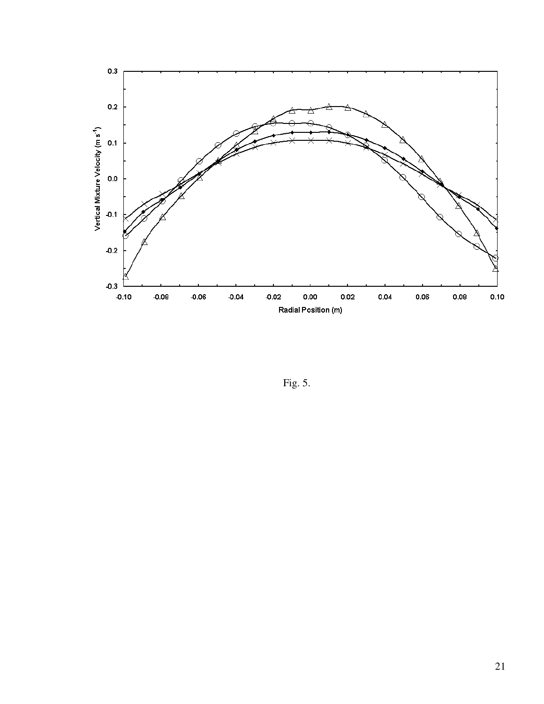

Fig. 5.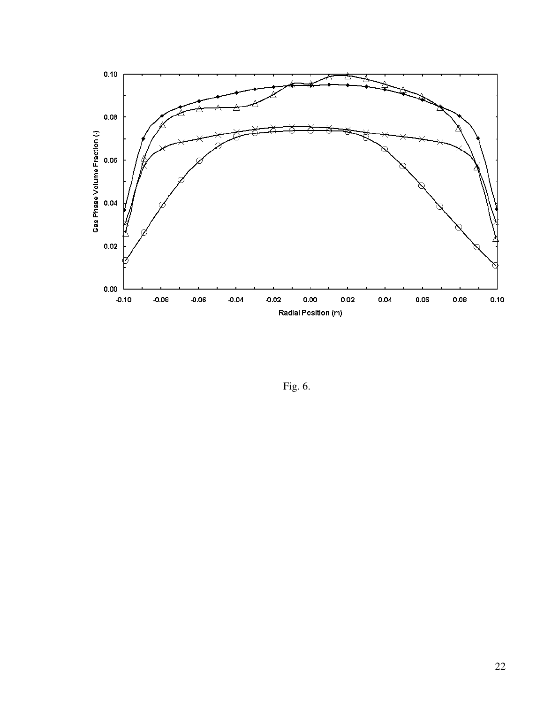

Fig. 6.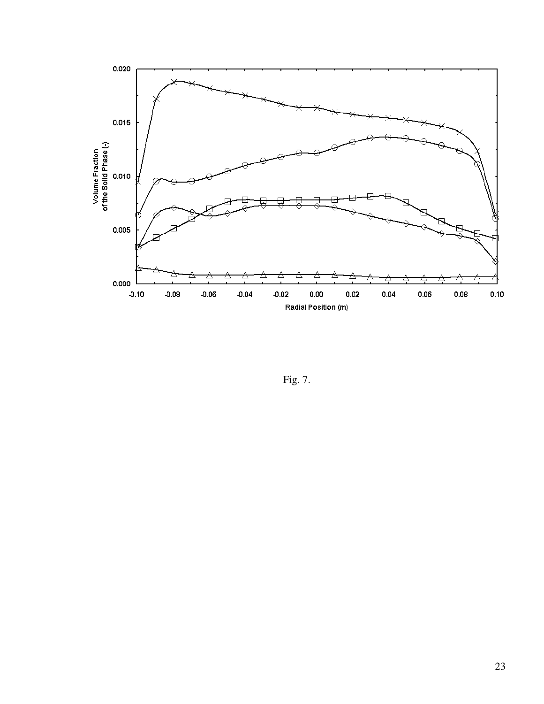

Fig. 7.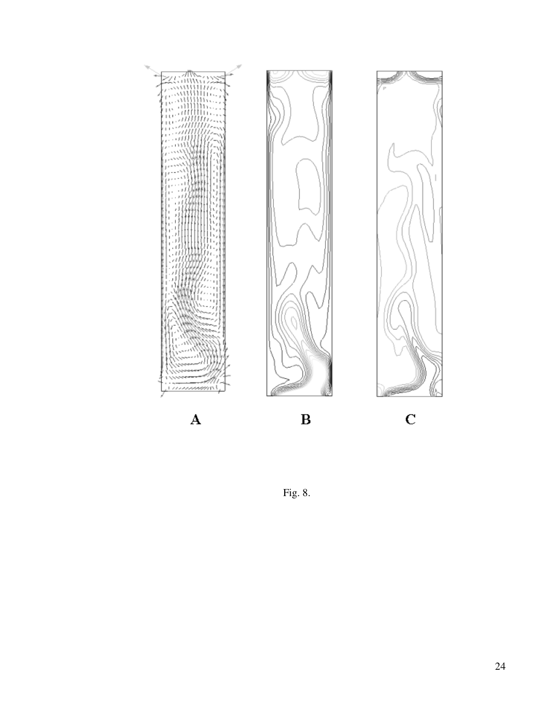

Fig. 8.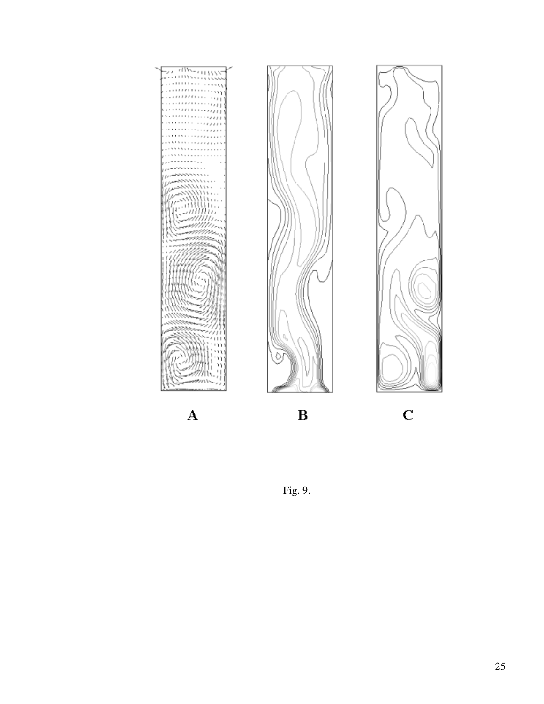

Fig. 9.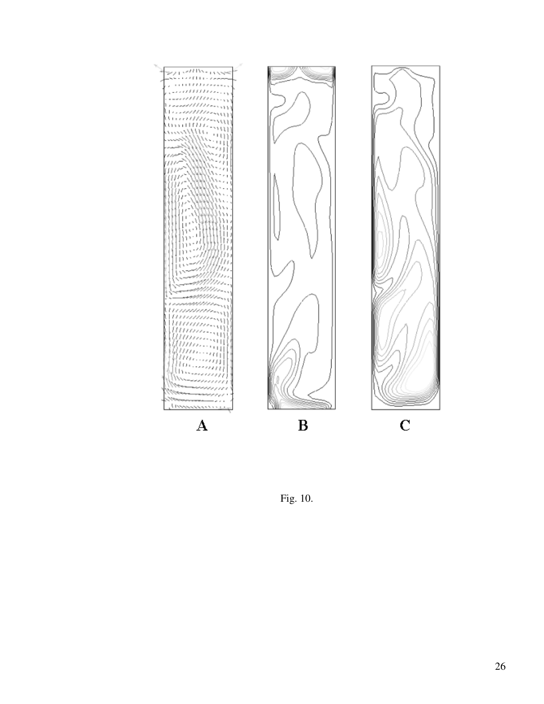

Fig. 10.